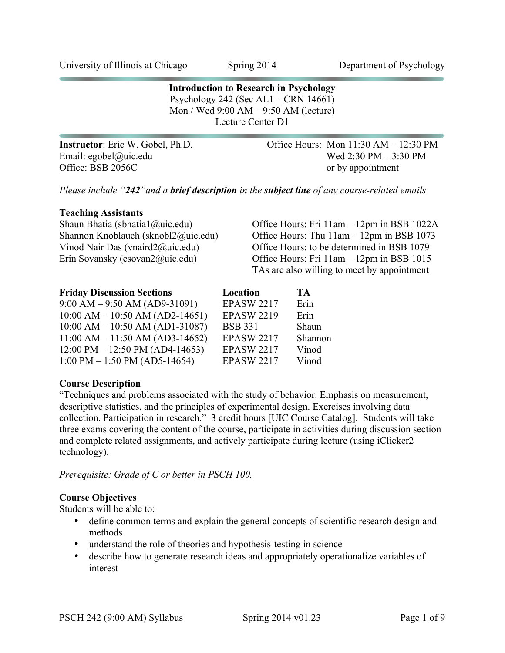University of Illinois at Chicago Spring 2014 Department of Psychology

**Introduction to Research in Psychology** Psychology 242 (Sec AL1 – CRN 14661) Mon / Wed 9:00 AM – 9:50 AM (lecture) Lecture Center D1

Office: BSB 2056C or by appointment

**Instructor**: Eric W. Gobel, Ph.D. **Office Hours: Mon 11:30 AM – 12:30 PM** Email: egobel@uic.edu Wed 2:30 PM – 3:30 PM

*Please include "242"and a brief description in the subject line of any course-related emails*

#### **Teaching Assistants**

Shaun Bhatia (sbhatia1@uic.edu) Office Hours: Fri 11am – 12pm in BSB 1022A Shannon Knoblauch (sknobl2@uic.edu) Office Hours: Thu 11am – 12pm in BSB 1073 Vinod Nair Das (vnaird2@uic.edu) Office Hours: to be determined in BSB 1079 Erin Sovansky (esovan2@uic.edu) Office Hours: Fri 11am – 12pm in BSB 1015 TAs are also willing to meet by appointment

| <b>Friday Discussion Sections</b>                 | Location          | <b>TA</b> |
|---------------------------------------------------|-------------------|-----------|
| $9:00 AM - 9:50 AM (AD9-31091)$                   | <b>EPASW 2217</b> | Erin      |
| $10:00$ AM $- 10:50$ AM (AD2-14651)               | <b>EPASW 2219</b> | Erin      |
| $10:00$ AM $- 10:50$ AM (AD1-31087)               | <b>BSB</b> 331    | Shaun     |
| $11:00 AM - 11:50 AM (AD3-14652)$                 | <b>EPASW 2217</b> | Shannon   |
| $12:00 \text{ PM} - 12:50 \text{ PM} (AD4-14653)$ | <b>EPASW 2217</b> | Vinod     |
| $1:00 \text{ PM} - 1:50 \text{ PM} (AD5-14654)$   | <b>EPASW 2217</b> | Vinod     |

## **Course Description**

"Techniques and problems associated with the study of behavior. Emphasis on measurement, descriptive statistics, and the principles of experimental design. Exercises involving data collection. Participation in research." 3 credit hours [UIC Course Catalog]. Students will take three exams covering the content of the course, participate in activities during discussion section and complete related assignments, and actively participate during lecture (using iClicker2 technology).

*Prerequisite: Grade of C or better in PSCH 100.*

## **Course Objectives**

Students will be able to:

- define common terms and explain the general concepts of scientific research design and methods
- understand the role of theories and hypothesis-testing in science
- describe how to generate research ideas and appropriately operationalize variables of interest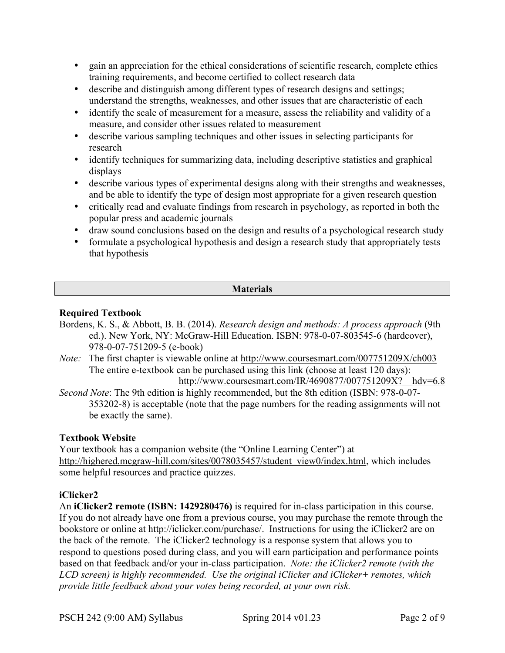- gain an appreciation for the ethical considerations of scientific research, complete ethics training requirements, and become certified to collect research data
- describe and distinguish among different types of research designs and settings; understand the strengths, weaknesses, and other issues that are characteristic of each
- identify the scale of measurement for a measure, assess the reliability and validity of a measure, and consider other issues related to measurement
- describe various sampling techniques and other issues in selecting participants for research
- identify techniques for summarizing data, including descriptive statistics and graphical displays
- describe various types of experimental designs along with their strengths and weaknesses, and be able to identify the type of design most appropriate for a given research question
- critically read and evaluate findings from research in psychology, as reported in both the popular press and academic journals
- draw sound conclusions based on the design and results of a psychological research study
- formulate a psychological hypothesis and design a research study that appropriately tests that hypothesis

# **Materials**

# **Required Textbook**

- Bordens, K. S., & Abbott, B. B. (2014). *Research design and methods: A process approach* (9th ed.). New York, NY: McGraw-Hill Education. ISBN: 978-0-07-803545-6 (hardcover), 978-0-07-751209-5 (e-book)
- *Note:* The first chapter is viewable online at http://www.coursesmart.com/007751209X/ch003 The entire e-textbook can be purchased using this link (choose at least 120 days): http://www.coursesmart.com/IR/4690877/007751209X? hdv=6.8
- *Second Note*: The 9th edition is highly recommended, but the 8th edition (ISBN: 978-0-07- 353202-8) is acceptable (note that the page numbers for the reading assignments will not be exactly the same).

## **Textbook Website**

Your textbook has a companion website (the "Online Learning Center") at http://highered.mcgraw-hill.com/sites/0078035457/student\_view0/index.html, which includes some helpful resources and practice quizzes.

## **iClicker2**

An **iClicker2 remote (ISBN: 1429280476)** is required for in-class participation in this course. If you do not already have one from a previous course, you may purchase the remote through the bookstore or online at http://iclicker.com/purchase/. Instructions for using the iClicker2 are on the back of the remote. The iClicker2 technology is a response system that allows you to respond to questions posed during class, and you will earn participation and performance points based on that feedback and/or your in-class participation. *Note: the iClicker2 remote (with the LCD screen) is highly recommended. Use the original iClicker and iClicker+ remotes, which provide little feedback about your votes being recorded, at your own risk.*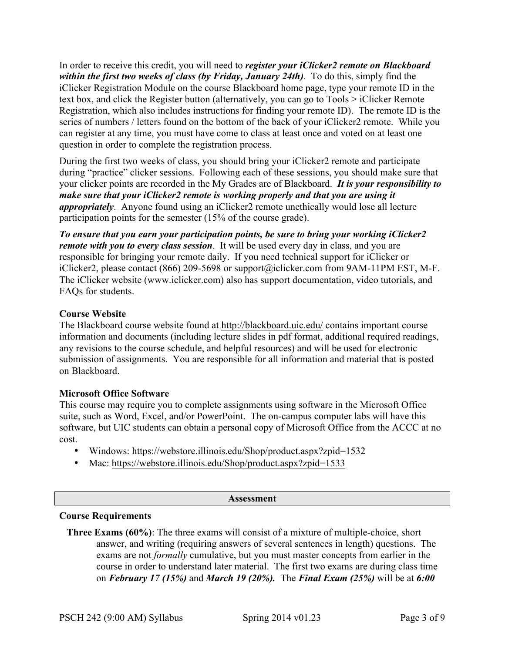In order to receive this credit, you will need to *register your iClicker2 remote on Blackboard within the first two weeks of class (by Friday, January 24th)*. To do this, simply find the iClicker Registration Module on the course Blackboard home page, type your remote ID in the text box, and click the Register button (alternatively, you can go to Tools > iClicker Remote Registration, which also includes instructions for finding your remote ID). The remote ID is the series of numbers / letters found on the bottom of the back of your iClicker2 remote. While you can register at any time, you must have come to class at least once and voted on at least one question in order to complete the registration process.

During the first two weeks of class, you should bring your iClicker2 remote and participate during "practice" clicker sessions. Following each of these sessions, you should make sure that your clicker points are recorded in the My Grades are of Blackboard. *It is your responsibility to make sure that your iClicker2 remote is working properly and that you are using it appropriately*. Anyone found using an iClicker2 remote unethically would lose all lecture participation points for the semester (15% of the course grade).

*To ensure that you earn your participation points, be sure to bring your working iClicker2 remote with you to every class session*. It will be used every day in class, and you are responsible for bringing your remote daily. If you need technical support for iClicker or iClicker2, please contact (866) 209-5698 or support@iclicker.com from 9AM-11PM EST, M-F. The iClicker website (www.iclicker.com) also has support documentation, video tutorials, and FAQs for students.

## **Course Website**

The Blackboard course website found at http://blackboard.uic.edu/ contains important course information and documents (including lecture slides in pdf format, additional required readings, any revisions to the course schedule, and helpful resources) and will be used for electronic submission of assignments. You are responsible for all information and material that is posted on Blackboard.

#### **Microsoft Office Software**

This course may require you to complete assignments using software in the Microsoft Office suite, such as Word, Excel, and/or PowerPoint. The on-campus computer labs will have this software, but UIC students can obtain a personal copy of Microsoft Office from the ACCC at no cost.

- Windows: https://webstore.illinois.edu/Shop/product.aspx?zpid=1532
- Mac: https://webstore.illinois.edu/Shop/product.aspx?zpid=1533

#### **Assessment**

#### **Course Requirements**

**Three Exams (60%)**: The three exams will consist of a mixture of multiple-choice, short answer, and writing (requiring answers of several sentences in length) questions. The exams are not *formally* cumulative, but you must master concepts from earlier in the course in order to understand later material. The first two exams are during class time on *February 17 (15%)* and *March 19 (20%).* The *Final Exam (25%)* will be at *6:00*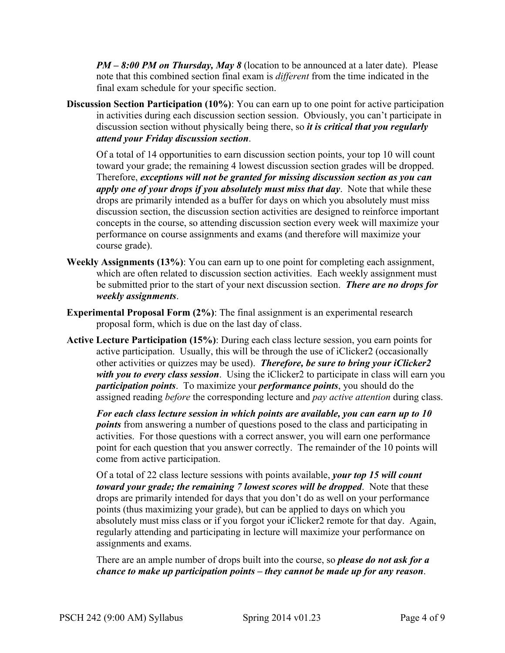*PM – 8:00 PM on Thursday, May 8* (location to be announced at a later date). Please note that this combined section final exam is *different* from the time indicated in the final exam schedule for your specific section.

**Discussion Section Participation (10%)**: You can earn up to one point for active participation in activities during each discussion section session. Obviously, you can't participate in discussion section without physically being there, so *it is critical that you regularly attend your Friday discussion section*.

Of a total of 14 opportunities to earn discussion section points, your top 10 will count toward your grade; the remaining 4 lowest discussion section grades will be dropped. Therefore, *exceptions will not be granted for missing discussion section as you can apply one of your drops if you absolutely must miss that day*. Note that while these drops are primarily intended as a buffer for days on which you absolutely must miss discussion section, the discussion section activities are designed to reinforce important concepts in the course, so attending discussion section every week will maximize your performance on course assignments and exams (and therefore will maximize your course grade).

- **Weekly Assignments (13%)**: You can earn up to one point for completing each assignment, which are often related to discussion section activities. Each weekly assignment must be submitted prior to the start of your next discussion section. *There are no drops for weekly assignments*.
- **Experimental Proposal Form (2%)**: The final assignment is an experimental research proposal form, which is due on the last day of class.
- **Active Lecture Participation (15%)**: During each class lecture session, you earn points for active participation. Usually, this will be through the use of iClicker2 (occasionally other activities or quizzes may be used). *Therefore, be sure to bring your iClicker2 with you to every class session*. Using the iClicker<sub>2</sub> to participate in class will earn you *participation points*. To maximize your *performance points*, you should do the assigned reading *before* the corresponding lecture and *pay active attention* during class.

*For each class lecture session in which points are available, you can earn up to 10 points* from answering a number of questions posed to the class and participating in activities. For those questions with a correct answer, you will earn one performance point for each question that you answer correctly. The remainder of the 10 points will come from active participation.

Of a total of 22 class lecture sessions with points available, *your top 15 will count toward your grade; the remaining 7 lowest scores will be dropped*. Note that these drops are primarily intended for days that you don't do as well on your performance points (thus maximizing your grade), but can be applied to days on which you absolutely must miss class or if you forgot your iClicker2 remote for that day. Again, regularly attending and participating in lecture will maximize your performance on assignments and exams.

There are an ample number of drops built into the course, so *please do not ask for a chance to make up participation points – they cannot be made up for any reason*.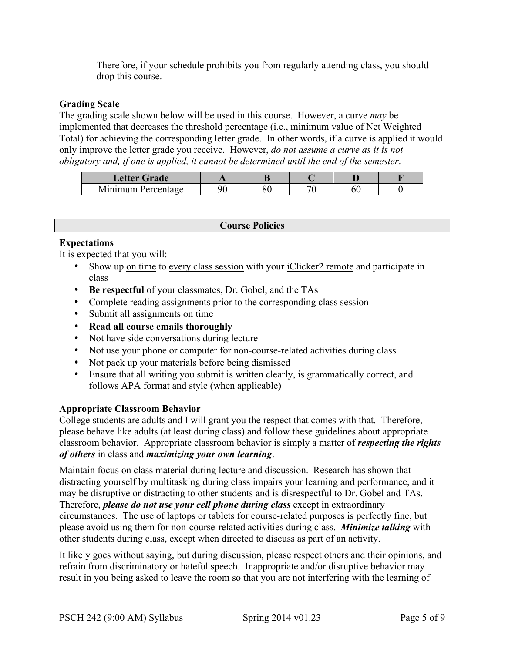Therefore, if your schedule prohibits you from regularly attending class, you should drop this course.

## **Grading Scale**

The grading scale shown below will be used in this course. However, a curve *may* be implemented that decreases the threshold percentage (i.e., minimum value of Net Weighted Total) for achieving the corresponding letter grade. In other words, if a curve is applied it would only improve the letter grade you receive. However, *do not assume a curve as it is not obligatory and, if one is applied, it cannot be determined until the end of the semester*.

| Letter Grade       |    |          |    |  |
|--------------------|----|----------|----|--|
| Minimum Percentage | ٥ſ | or<br>oι | 60 |  |

#### **Course Policies**

### **Expectations**

It is expected that you will:

- Show up on time to every class session with your iClicker2 remote and participate in class
- **Be respectful** of your classmates, Dr. Gobel, and the TAs
- Complete reading assignments prior to the corresponding class session
- Submit all assignments on time
- **Read all course emails thoroughly**
- Not have side conversations during lecture
- Not use your phone or computer for non-course-related activities during class
- Not pack up your materials before being dismissed
- Ensure that all writing you submit is written clearly, is grammatically correct, and follows APA format and style (when applicable)

## **Appropriate Classroom Behavior**

College students are adults and I will grant you the respect that comes with that. Therefore, please behave like adults (at least during class) and follow these guidelines about appropriate classroom behavior. Appropriate classroom behavior is simply a matter of *respecting the rights of others* in class and *maximizing your own learning*.

Maintain focus on class material during lecture and discussion. Research has shown that distracting yourself by multitasking during class impairs your learning and performance, and it may be disruptive or distracting to other students and is disrespectful to Dr. Gobel and TAs. Therefore, *please do not use your cell phone during class* except in extraordinary circumstances. The use of laptops or tablets for course-related purposes is perfectly fine, but please avoid using them for non-course-related activities during class. *Minimize talking* with other students during class, except when directed to discuss as part of an activity.

It likely goes without saying, but during discussion, please respect others and their opinions, and refrain from discriminatory or hateful speech. Inappropriate and/or disruptive behavior may result in you being asked to leave the room so that you are not interfering with the learning of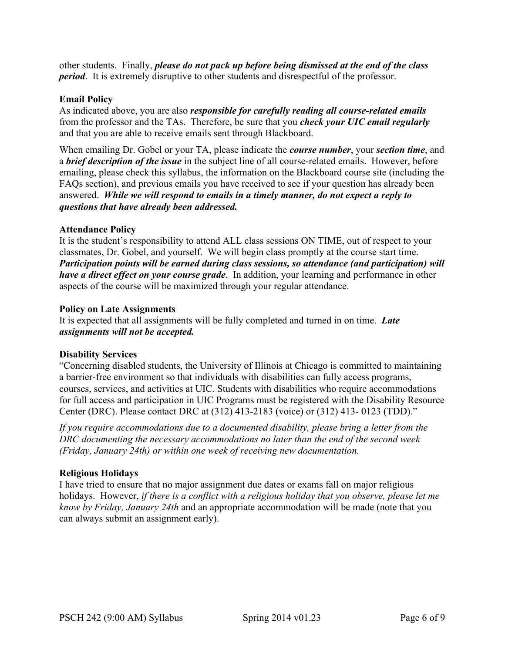other students. Finally, *please do not pack up before being dismissed at the end of the class period*. It is extremely disruptive to other students and disrespectful of the professor.

## **Email Policy**

As indicated above, you are also *responsible for carefully reading all course-related emails* from the professor and the TAs. Therefore, be sure that you *check your UIC email regularly* and that you are able to receive emails sent through Blackboard.

When emailing Dr. Gobel or your TA, please indicate the *course number*, your *section time*, and a *brief description of the issue* in the subject line of all course-related emails. However, before emailing, please check this syllabus, the information on the Blackboard course site (including the FAQs section), and previous emails you have received to see if your question has already been answered. *While we will respond to emails in a timely manner, do not expect a reply to questions that have already been addressed.*

### **Attendance Policy**

It is the student's responsibility to attend ALL class sessions ON TIME, out of respect to your classmates, Dr. Gobel, and yourself. We will begin class promptly at the course start time. *Participation points will be earned during class sessions, so attendance (and participation) will have a direct effect on your course grade*. In addition, your learning and performance in other aspects of the course will be maximized through your regular attendance.

### **Policy on Late Assignments**

It is expected that all assignments will be fully completed and turned in on time. *Late assignments will not be accepted.*

#### **Disability Services**

"Concerning disabled students, the University of Illinois at Chicago is committed to maintaining a barrier-free environment so that individuals with disabilities can fully access programs, courses, services, and activities at UIC. Students with disabilities who require accommodations for full access and participation in UIC Programs must be registered with the Disability Resource Center (DRC). Please contact DRC at (312) 413-2183 (voice) or (312) 413- 0123 (TDD)."

*If you require accommodations due to a documented disability, please bring a letter from the DRC documenting the necessary accommodations no later than the end of the second week (Friday, January 24th) or within one week of receiving new documentation.*

## **Religious Holidays**

I have tried to ensure that no major assignment due dates or exams fall on major religious holidays. However, *if there is a conflict with a religious holiday that you observe, please let me know by Friday, January 24th* and an appropriate accommodation will be made (note that you can always submit an assignment early).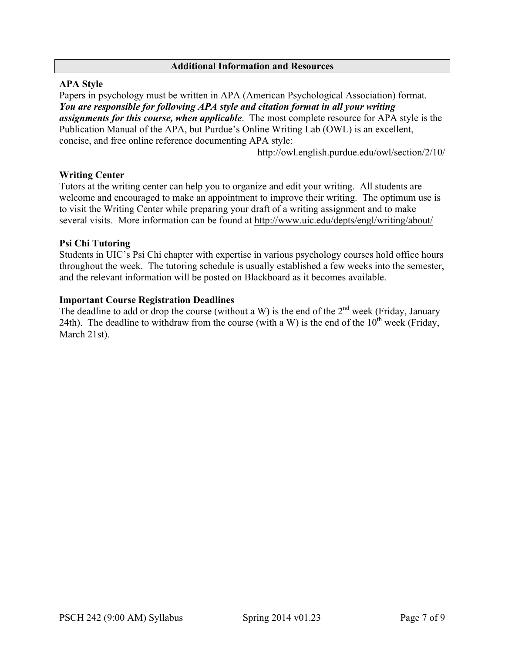#### **Additional Information and Resources**

### **APA Style**

Papers in psychology must be written in APA (American Psychological Association) format. *You are responsible for following APA style and citation format in all your writing assignments for this course, when applicable*. The most complete resource for APA style is the Publication Manual of the APA, but Purdue's Online Writing Lab (OWL) is an excellent, concise, and free online reference documenting APA style:

http://owl.english.purdue.edu/owl/section/2/10/

### **Writing Center**

Tutors at the writing center can help you to organize and edit your writing. All students are welcome and encouraged to make an appointment to improve their writing. The optimum use is to visit the Writing Center while preparing your draft of a writing assignment and to make several visits. More information can be found at http://www.uic.edu/depts/engl/writing/about/

#### **Psi Chi Tutoring**

Students in UIC's Psi Chi chapter with expertise in various psychology courses hold office hours throughout the week. The tutoring schedule is usually established a few weeks into the semester, and the relevant information will be posted on Blackboard as it becomes available.

#### **Important Course Registration Deadlines**

The deadline to add or drop the course (without a W) is the end of the  $2^{nd}$  week (Friday, January 24th). The deadline to withdraw from the course (with a W) is the end of the  $10^{th}$  week (Friday, March 21st).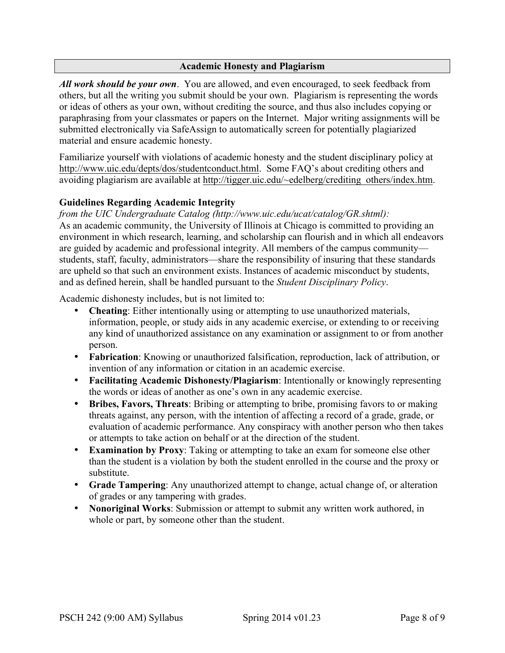### **Academic Honesty and Plagiarism**

*All work should be your own*. You are allowed, and even encouraged, to seek feedback from others, but all the writing you submit should be your own. Plagiarism is representing the words or ideas of others as your own, without crediting the source, and thus also includes copying or paraphrasing from your classmates or papers on the Internet. Major writing assignments will be submitted electronically via SafeAssign to automatically screen for potentially plagiarized material and ensure academic honesty.

Familiarize yourself with violations of academic honesty and the student disciplinary policy at http://www.uic.edu/depts/dos/studentconduct.html. Some FAQ's about crediting others and avoiding plagiarism are available at http://tigger.uic.edu/~edelberg/crediting\_others/index.htm.

## **Guidelines Regarding Academic Integrity**

*from the UIC Undergraduate Catalog (http://www.uic.edu/ucat/catalog/GR.shtml):* As an academic community, the University of Illinois at Chicago is committed to providing an environment in which research, learning, and scholarship can flourish and in which all endeavors are guided by academic and professional integrity. All members of the campus community students, staff, faculty, administrators—share the responsibility of insuring that these standards are upheld so that such an environment exists. Instances of academic misconduct by students, and as defined herein, shall be handled pursuant to the *Student Disciplinary Policy*.

Academic dishonesty includes, but is not limited to:

- **Cheating**: Either intentionally using or attempting to use unauthorized materials, information, people, or study aids in any academic exercise, or extending to or receiving any kind of unauthorized assistance on any examination or assignment to or from another person.
- **Fabrication**: Knowing or unauthorized falsification, reproduction, lack of attribution, or invention of any information or citation in an academic exercise.
- **Facilitating Academic Dishonesty/Plagiarism**: Intentionally or knowingly representing the words or ideas of another as one's own in any academic exercise.
- **Bribes, Favors, Threats**: Bribing or attempting to bribe, promising favors to or making threats against, any person, with the intention of affecting a record of a grade, grade, or evaluation of academic performance. Any conspiracy with another person who then takes or attempts to take action on behalf or at the direction of the student.
- **Examination by Proxy**: Taking or attempting to take an exam for someone else other than the student is a violation by both the student enrolled in the course and the proxy or substitute.
- **Grade Tampering**: Any unauthorized attempt to change, actual change of, or alteration of grades or any tampering with grades.
- **Nonoriginal Works**: Submission or attempt to submit any written work authored, in whole or part, by someone other than the student.